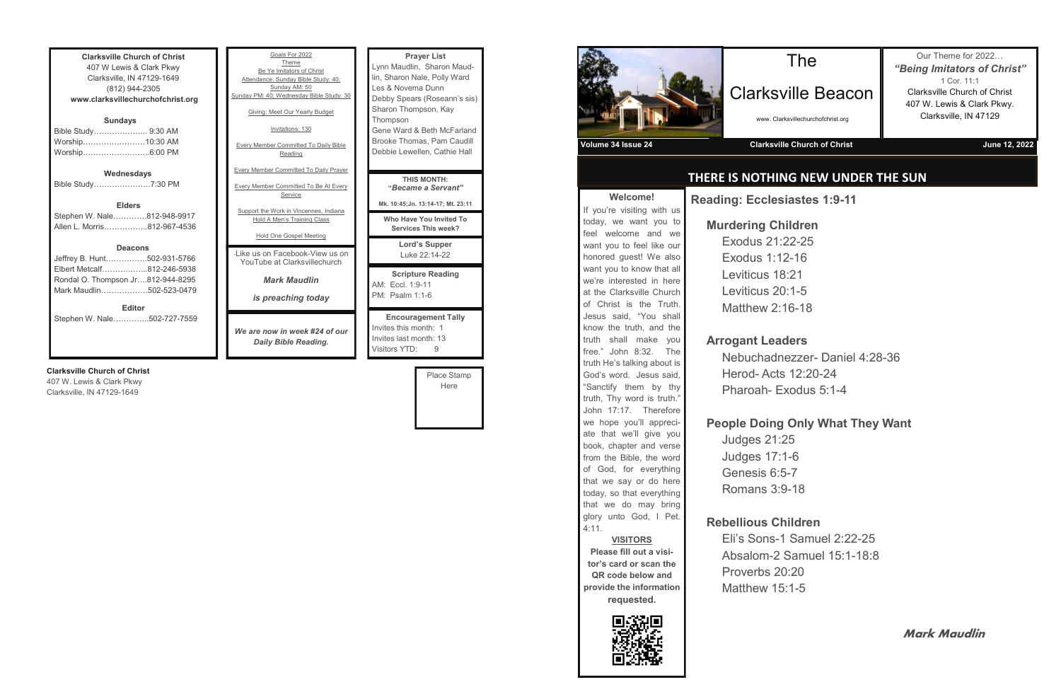| <b>Clarksville Church of Christ</b> |  |  |
|-------------------------------------|--|--|
| 407 W Lewis & Clark Pkwy            |  |  |
| Clarksville, IN 47129-1649          |  |  |
| (812) 944-2305                      |  |  |
| www.clarksvillechurchofchrist.org   |  |  |
|                                     |  |  |
| <b>Sundays</b>                      |  |  |
| Bible Study 9:30 AM                 |  |  |
| Worship……………………10:30 AM             |  |  |
| Worship6:00 PM                      |  |  |
|                                     |  |  |
| Wednesdays                          |  |  |
| Bible Study7:30 PM                  |  |  |
|                                     |  |  |
| <b>Elders</b>                       |  |  |
| Stephen W. Nale812-948-9917         |  |  |
| Allen L. Morris812-967-4536         |  |  |
|                                     |  |  |
| <b>Deacons</b>                      |  |  |
| Jeffrey B. Hunt……………502-931-5766    |  |  |
| Elbert Metcalf812-246-5938          |  |  |
| Rondal O. Thompson Jr812-944-8295   |  |  |
| Mark Maudlin502-523-0479            |  |  |
|                                     |  |  |
| <b>Editor</b>                       |  |  |
| Stephen W. Nale502-727-7559         |  |  |
|                                     |  |  |
|                                     |  |  |

#### **Clarksville Church of Christ**

407 W. Lewis & Clark Pkwy Clarksville, IN 47129-1649

| Goals For 2022<br>Theme<br>Be Ye Imitators of Christ<br>Attendance: Sunday Bible Study: 40;<br>Sunday AM: 50<br>Sunday PM: 40; Wednesday Bible Study: 30<br>Giving: Meet Our Yearly Budget<br>Invitations: 130<br><b>Every Member Committed To Daily Bible</b><br>Reading<br><b>Every Member Committed To Daily Prayer</b> | <b>Prayer List</b><br>Lynn Maudlin, Sharon Maud-<br>lin, Sharon Nale, Polly Ward<br>Les & Novema Dunn<br>Debby Spears (Roseann's sis)<br>Sharon Thompson, Kay<br>Thompson<br>Gene Ward & Beth McFarland<br>Brooke Thomas, Pam Caudill<br>Debbie Lewellen, Cathie Hall |
|----------------------------------------------------------------------------------------------------------------------------------------------------------------------------------------------------------------------------------------------------------------------------------------------------------------------------|-----------------------------------------------------------------------------------------------------------------------------------------------------------------------------------------------------------------------------------------------------------------------|
| <b>Every Member Committed To Be At Every</b><br>Service<br>Support the Work in Vincennes, Indiana<br>Hold A Men's Training Class<br>Hold One Gospel Meeting                                                                                                                                                                | <b>THIS MONTH:</b><br>"Became a Servant"<br>Mk. 10:45; Jn. 13:14-17; Mt. 23:11<br>Who Have You Invited To<br><b>Services This week?</b>                                                                                                                               |
| - like us on Facebook-View us on<br>YouTube at Clarksvillechurch                                                                                                                                                                                                                                                           | Lord's Supper<br>Luke 22:14-22                                                                                                                                                                                                                                        |
| <b>Mark Maudlin</b><br>is preaching today                                                                                                                                                                                                                                                                                  | <b>Scripture Reading</b><br>AM: Fccl. 1:9-11<br>PM: Psalm 1:1-6                                                                                                                                                                                                       |
| We are now in week #24 of our<br>Daily Bible Reading.                                                                                                                                                                                                                                                                      | <b>Encouragement Tally</b><br>Invites this month: 1<br>Invites last month: 13<br>Visitors YTD:<br>9                                                                                                                                                                   |

Place Stamp Here



**Welcome!** If you're visiting with us today, we want you to feel welcome and we want you to feel like our honored guest! We also want you to know that all we're interested in here at the Clarksville Church of Christ is the Truth. Jesus said, "You shall know the truth, and the truth shall make you free." John 8:32. The truth He's talking about is God's word. Jesus said, "Sanctify them by thy truth, Thy word is truth." John 17:17. Therefore we hope you'll appreciate that we'll give you book, chapter and verse from the Bible, the word of God, for everything that we say or do here today, so that everything that we do may bring glory unto God, I Pet.

4:11.

**VISITORS Please fill out a visitor's card or scan the QR code below and provide the information requested.**

# **THERE IS NOTHING NEW UNDER THE SUN**

# The

# Clarksville Beacon

www. Clarksvillechurchofchrist.org

Our Theme for 2022… *"Being Imitators of Christ"* 1 Cor. 11:1 Clarksville Church of Christ 407 W. Lewis & Clark Pkwy. Clarksville, IN 47129

**Volume 34 Issue 24 Clarksville Church of Christ June 12, 2022**

**Reading: Ecclesiastes 1:9-11**

#### **Murdering Children**

Exodus 21:22-25 Exodus 1:12-16 Leviticus 18:21 Leviticus 20:1-5 Matthew 2:16-18

### **Arrogant Leaders**

Herod- Acts 12:20-24

#### **People Doing Only What They Want**

- 
- 
- 
- 
- 
- 
- Nebuchadnezzer- Daniel 4:28-36 Pharoah- Exodus 5:1-4
	-
- Eli's Sons-1 Samuel 2:22-25 Absalom-2 Samuel 15:1-18:8

Judges 21:25 Judges 17:1-6 Genesis 6:5-7 Romans 3:9-18

# **Rebellious Children**

Proverbs 20:20 Matthew 15:1-5



**Mark Maudlin**